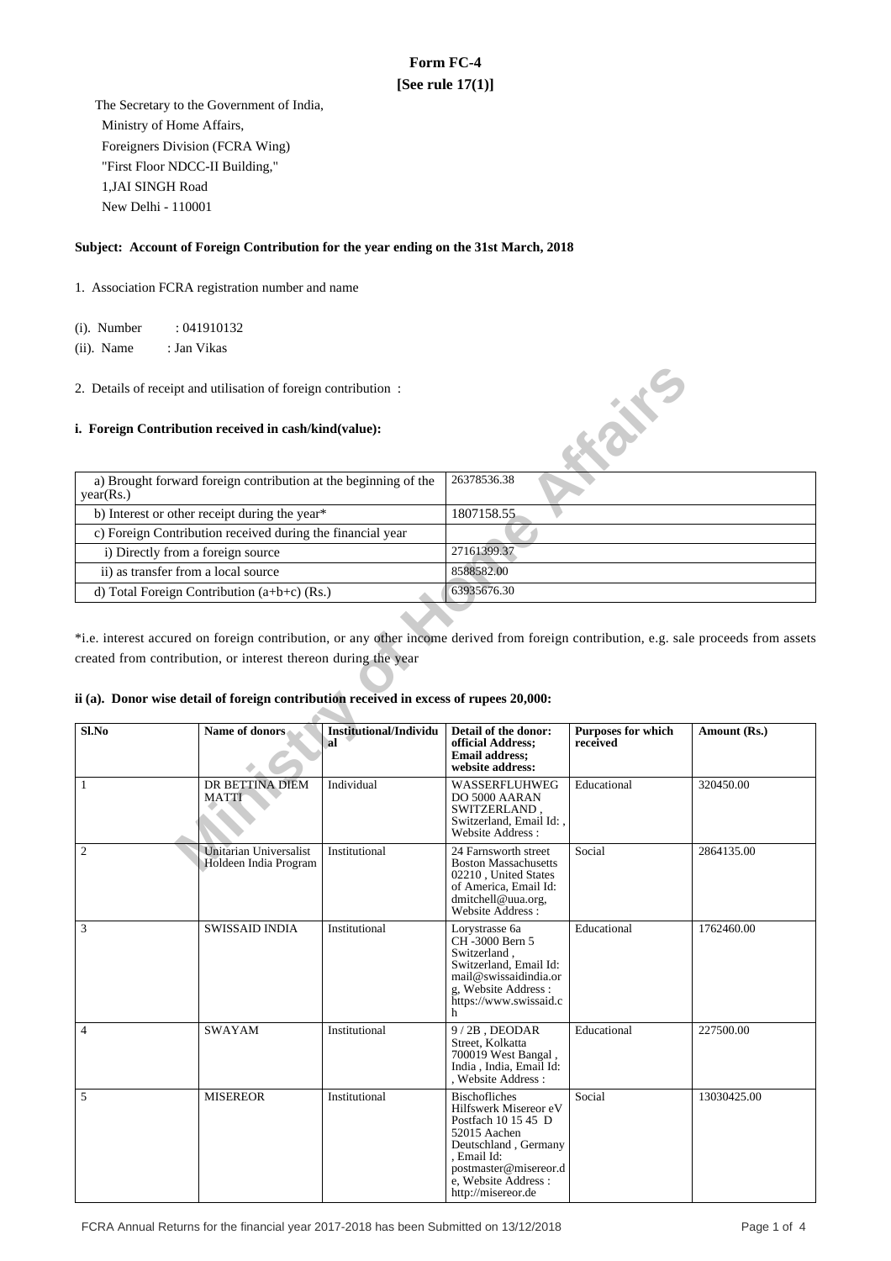### **Form FC-4 [See rule 17(1)]**

 The Secretary to the Government of India, Ministry of Home Affairs, Foreigners Division (FCRA Wing) "First Floor NDCC-II Building," 1,JAI SINGH Road New Delhi - 110001

### **Subject: Account of Foreign Contribution for the year ending on the 31st March, 2018**

1. Association FCRA registration number and name

(i). Number : 041910132

 (ii). Name : Jan Vikas

### **i. Foreign Contribution received in cash/kind(value):**

| a) Brought forward foreign contribution at the beginning of the<br>year(Rs.) | 26378536.38 |
|------------------------------------------------------------------------------|-------------|
| b) Interest or other receipt during the year*                                | 1807158.55  |
| c) Foreign Contribution received during the financial year                   |             |
| i) Directly from a foreign source                                            | 27161399.37 |
| ii) as transfer from a local source                                          | 8588582.00  |
| d) Total Foreign Contribution $(a+b+c)$ (Rs.)                                | 63935676.30 |

### **ii (a). Donor wise detail of foreign contribution received in excess of rupees 20,000:**

| 2. Details of receipt and utilisation of foreign contribution :                        |                                                                 |                                     |                                                                                                                                                                                                    | <b>Kaike</b>                          |                                                                                                                                       |
|----------------------------------------------------------------------------------------|-----------------------------------------------------------------|-------------------------------------|----------------------------------------------------------------------------------------------------------------------------------------------------------------------------------------------------|---------------------------------------|---------------------------------------------------------------------------------------------------------------------------------------|
| i. Foreign Contribution received in cash/kind(value):                                  |                                                                 |                                     |                                                                                                                                                                                                    |                                       |                                                                                                                                       |
| year(Rs.)                                                                              | a) Brought forward foreign contribution at the beginning of the |                                     | 26378536.38                                                                                                                                                                                        |                                       |                                                                                                                                       |
|                                                                                        | b) Interest or other receipt during the year*                   |                                     | 1807158.55                                                                                                                                                                                         |                                       |                                                                                                                                       |
|                                                                                        | c) Foreign Contribution received during the financial year      |                                     |                                                                                                                                                                                                    |                                       |                                                                                                                                       |
| i) Directly from a foreign source                                                      |                                                                 |                                     | 27161399.37                                                                                                                                                                                        |                                       |                                                                                                                                       |
| ii) as transfer from a local source                                                    |                                                                 |                                     | 8588582.00                                                                                                                                                                                         |                                       |                                                                                                                                       |
|                                                                                        | d) Total Foreign Contribution (a+b+c) (Rs.)                     |                                     | 63935676.30                                                                                                                                                                                        |                                       |                                                                                                                                       |
|                                                                                        |                                                                 |                                     |                                                                                                                                                                                                    |                                       |                                                                                                                                       |
|                                                                                        |                                                                 |                                     |                                                                                                                                                                                                    |                                       | *i.e. interest accured on foreign contribution, or any other income derived from foreign contribution, e.g. sale proceeds from assets |
| created from contribution, or interest thereon during the year                         |                                                                 |                                     |                                                                                                                                                                                                    |                                       |                                                                                                                                       |
|                                                                                        |                                                                 |                                     |                                                                                                                                                                                                    |                                       |                                                                                                                                       |
|                                                                                        |                                                                 |                                     |                                                                                                                                                                                                    |                                       |                                                                                                                                       |
| ii (a). Donor wise detail of foreign contribution received in excess of rupees 20,000: |                                                                 |                                     |                                                                                                                                                                                                    |                                       |                                                                                                                                       |
| Sl.No                                                                                  | Name of donors                                                  | <b>Institutional/Individu</b><br>al | Detail of the donor:<br>official Address;<br><b>Email address;</b><br>website address:                                                                                                             | <b>Purposes for which</b><br>received | Amount (Rs.)                                                                                                                          |
| $\mathbf{1}$                                                                           | DR BETTINA DIEM<br>MATTI                                        | Individual                          | WASSERFLUHWEG<br>DO 5000 AARAN<br>SWITZERLAND,<br>Switzerland, Email Id:,<br>Website Address:                                                                                                      | Educational                           | 320450.00                                                                                                                             |
| $\sqrt{2}$                                                                             | Unitarian Universalist<br>Holdeen India Program                 | Institutional                       | 24 Farnsworth street<br><b>Boston Massachusetts</b><br>02210, United States<br>of America, Email Id:<br>dmitchell@uua.org,<br>Website Address:                                                     | Social                                | 2864135.00                                                                                                                            |
| 3                                                                                      | <b>SWISSAID INDIA</b>                                           | Institutional                       | Lorystrasse 6a<br>CH -3000 Bern 5<br>Switzerland,<br>Switzerland, Email Id:<br>mail@swissaidindia.or<br>g, Website Address:<br>https://www.swissaid.c<br>h                                         | Educational                           | 1762460.00                                                                                                                            |
| $\overline{4}$                                                                         | <b>SWAYAM</b>                                                   | Institutional                       | $9/2B$ , DEODAR<br>Street, Kolkatta<br>700019 West Bangal,<br>India, India, Email Id:<br>, Website Address :                                                                                       | Educational                           | 227500.00                                                                                                                             |
| 5                                                                                      | <b>MISEREOR</b>                                                 | Institutional                       | <b>Bischofliches</b><br>Hilfswerk Misereor eV<br>Postfach 10 15 45 D<br>52015 Aachen<br>Deutschland, Germany<br>. Email Id:<br>postmaster@misereor.d<br>e, Website Address :<br>http://misereor.de | Social                                | 13030425.00                                                                                                                           |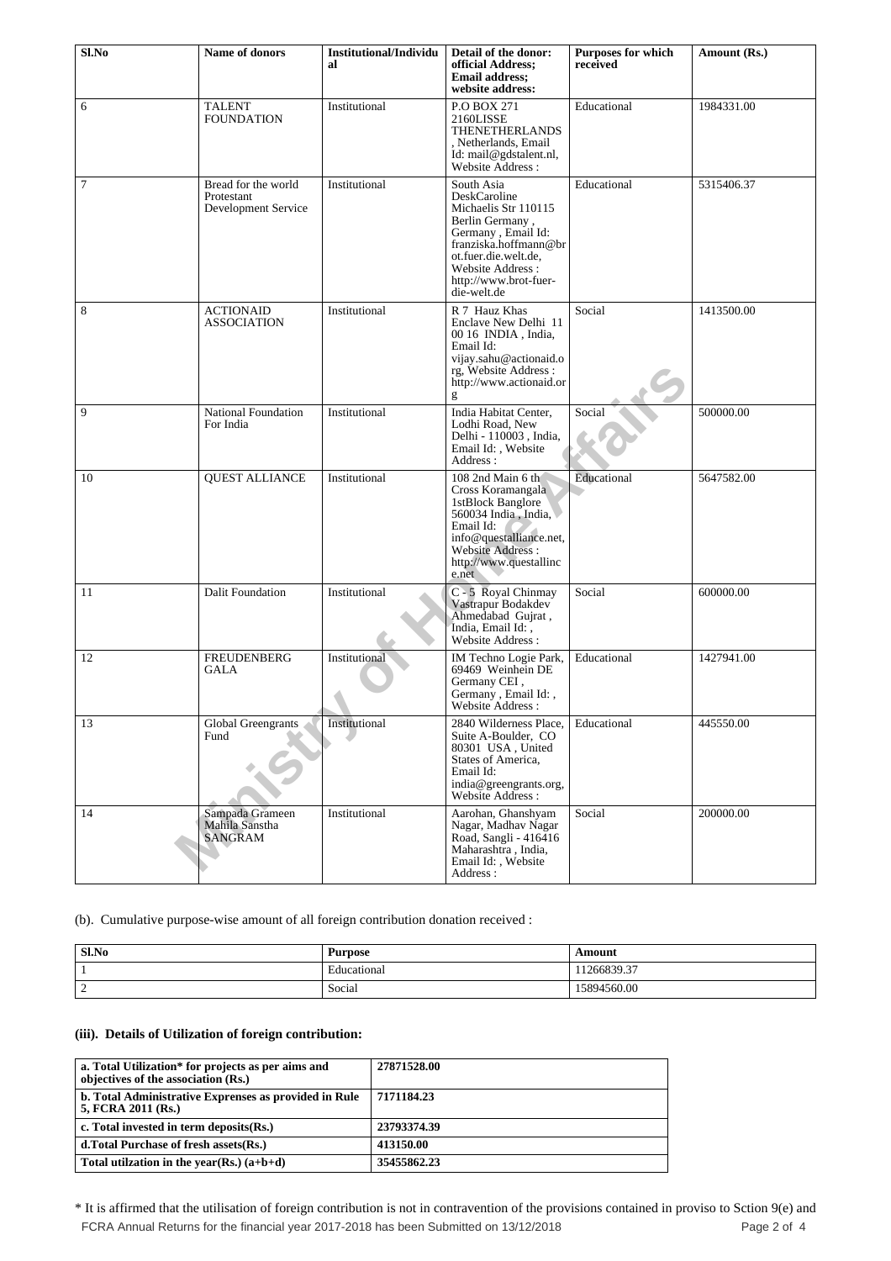| Sl.No  | Name of donors                                           | <b>Institutional/Individu</b><br>al | Detail of the donor:<br>official Address:<br><b>Email address;</b><br>website address:                                                                                                                   | <b>Purposes for which</b><br>received | Amount (Rs.) |
|--------|----------------------------------------------------------|-------------------------------------|----------------------------------------------------------------------------------------------------------------------------------------------------------------------------------------------------------|---------------------------------------|--------------|
| 6      | <b>TALENT</b><br><b>FOUNDATION</b>                       | Institutional                       | P.O BOX 271<br>2160LISSE<br><b>THENETHERLANDS</b><br>, Netherlands, Email<br>Id: mail@gdstalent.nl,<br>Website Address:                                                                                  | Educational                           | 1984331.00   |
| $\tau$ | Bread for the world<br>Protestant<br>Development Service | Institutional                       | South Asia<br>DeskCaroline<br>Michaelis Str 110115<br>Berlin Germany,<br>Germany, Email Id:<br>franziska.hoffmann@br<br>ot.fuer.die.welt.de,<br>Website Address:<br>http://www.brot-fuer-<br>die-welt.de | Educational                           | 5315406.37   |
| 8      | <b>ACTIONAID</b><br><b>ASSOCIATION</b>                   | Institutional                       | R 7 Hauz Khas<br>Enclave New Delhi 11<br>00 16 INDIA, India,<br>Email Id:<br>vijay.sahu@actionaid.o<br>rg, Website Address :<br>http://www.actionaid.or<br>g                                             | Social                                | 1413500.00   |
| 9      | National Foundation<br>For India                         | Institutional                       | India Habitat Center,<br>Lodhi Road, New<br>Delhi - 110003, India,<br>Email Id:, Website<br>Address:                                                                                                     | Social                                | 500000.00    |
| 10     | <b>QUEST ALLIANCE</b>                                    | Institutional                       | 108 2nd Main 6 th<br>Cross Koramangala<br>1stBlock Banglore<br>560034 India, India,<br>Email Id:<br>info@questalliance.net,<br>Website Address :<br>http://www.questallinc<br>e.net                      | Educational                           | 5647582.00   |
| 11     | <b>Dalit Foundation</b>                                  | Institutional                       | C - 5 Royal Chinmay<br>Vastrapur Bodakdev<br>Ahmedabad Gujrat,<br>India. Email Id:<br>Website Address:                                                                                                   | Social                                | 600000.00    |
| 12     | <b>FREUDENBERG</b><br>GALA                               | Institutional                       | IM Techno Logie Park,<br>69469 Weinhein DE<br>Germany CEI,<br>Germany, Email Id:,<br>Website Address:                                                                                                    | Educational                           | 1427941.00   |
| 13     | Global Greengrants<br>Fund                               | Institutional                       | 2840 Wilderness Place,<br>Suite A-Boulder, CO<br>80301 USA, United<br>States of America,<br>Email Id:<br>india@greengrants.org,<br>Website Address:                                                      | Educational                           | 445550.00    |
| 14     | Sampada Grameen<br>Mahila Sanstha<br>SANGRAM             | Institutional                       | Aarohan, Ghanshyam<br>Nagar, Madhav Nagar<br>Road, Sangli - 416416<br>Maharashtra, India,<br>Email Id:, Website<br>Address:                                                                              | Social                                | 200000.00    |

(b). Cumulative purpose-wise amount of all foreign contribution donation received :

| Sl.No         | <b>Purpose</b> | Amount      |
|---------------|----------------|-------------|
|               | Educational    | 11266839.37 |
| $\gamma$<br>∼ | Social         | 15894560.00 |

### **(iii). Details of Utilization of foreign contribution:**

| a. Total Utilization* for projects as per aims and<br>objectives of the association (Rs.) | 27871528.00 |
|-------------------------------------------------------------------------------------------|-------------|
| b. Total Administrative Exprenses as provided in Rule<br>5, FCRA 2011 (Rs.)               | 7171184.23  |
| c. Total invested in term deposits(Rs.)                                                   | 23793374.39 |
| d. Total Purchase of fresh assets (Rs.)                                                   | 413150.00   |
| Total utilization in the year(Rs.) $(a+b+d)$                                              | 35455862.23 |

\* It is affirmed that the utilisation of foreign contribution is not in contravention of the provisions contained in proviso to Sction 9(e) and FCRA Annual Returns for the financial year 2017-2018 has been Submitted on 13/12/2018 Page 2 of 4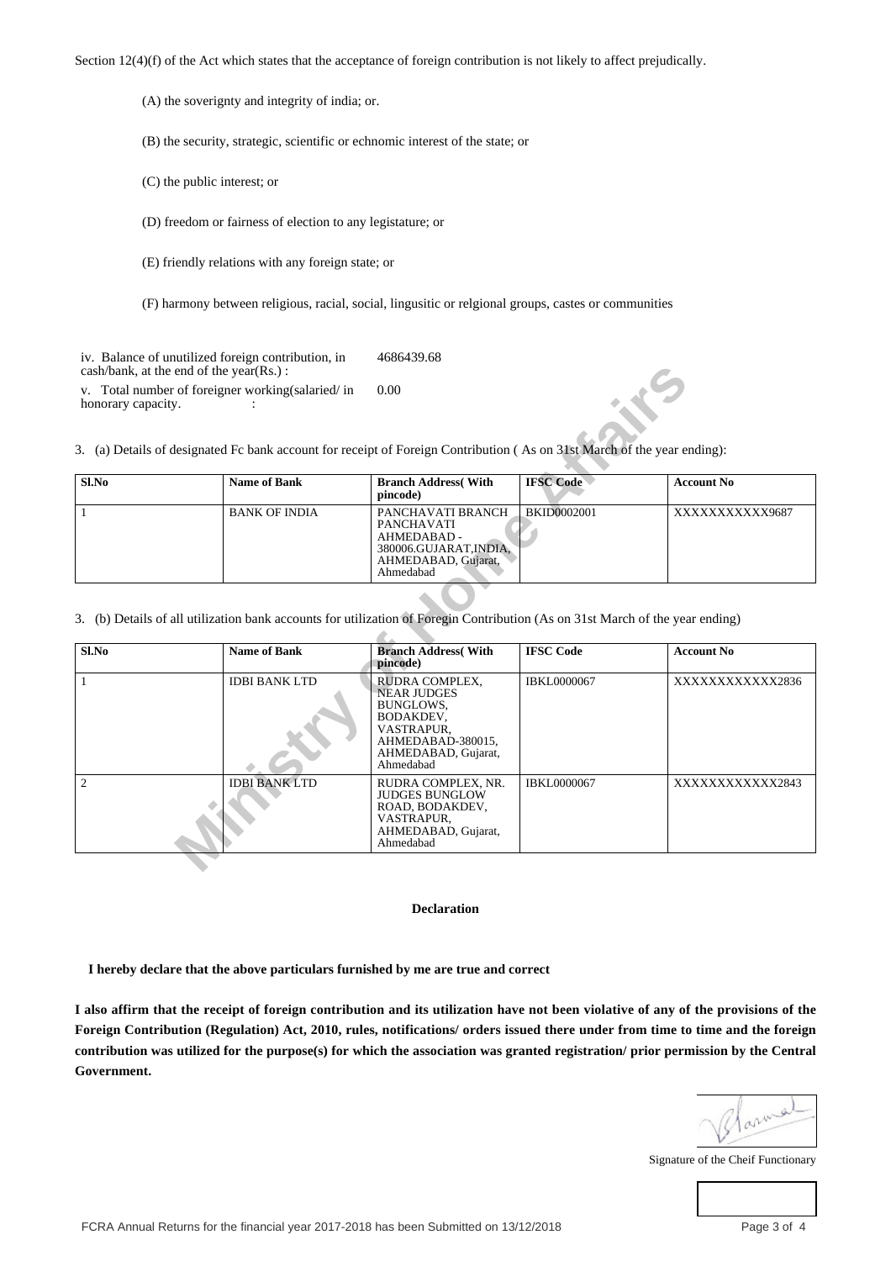Section 12(4)(f) of the Act which states that the acceptance of foreign contribution is not likely to affect prejudically.

(A) the soverignty and integrity of india; or.

(B) the security, strategic, scientific or echnomic interest of the state; or

(C) the public interest; or

(D) freedom or fairness of election to any legistature; or

(E) friendly relations with any foreign state; or

(F) harmony between religious, racial, social, lingusitic or relgional groups, castes or communities

iv. Balance of unutilized foreign contribution, in cash/bank, at the end of the year(Rs.) : 4686439.68 v. Total number of foreigner working(salaried/ in honorary capacity. 0.00

| Sl.No | <b>Name of Bank</b>  | <b>Branch Address With</b><br>pincode)                                                                       | <b>IFSC Code</b> | <b>Account No</b> |
|-------|----------------------|--------------------------------------------------------------------------------------------------------------|------------------|-------------------|
|       | <b>BANK OF INDIA</b> | PANCHAVATI BRANCH<br>PANCHAVATI<br>AHMEDABAD -<br>380006.GUJARAT, INDIA.<br>AHMEDABAD, Gujarat,<br>Ahmedabad | BKID0002001      | XXXXXXXXXXX9687   |

| honorary capacity. | $\cosh/bank$ , at the end of the year(Rs.):<br>v. Total number of foreigner working (salaried/in<br>3. (a) Details of designated Fc bank account for receipt of Foreign Contribution (As on 31st March of the year ending): | 0.00                                                                                                                                         |                    |                   |
|--------------------|-----------------------------------------------------------------------------------------------------------------------------------------------------------------------------------------------------------------------------|----------------------------------------------------------------------------------------------------------------------------------------------|--------------------|-------------------|
| $Sl$ . No          | <b>Name of Bank</b>                                                                                                                                                                                                         | <b>Branch Address</b> (With<br>pincode)                                                                                                      | <b>IFSC Code</b>   | <b>Account No</b> |
| $\mathbf{1}$       | <b>BANK OF INDIA</b>                                                                                                                                                                                                        | PANCHAVATI BRANCH<br>PANCHAVATI<br>AHMEDABAD -<br>380006.GUJARAT, INDIA,<br>AHMEDABAD, Gujarat,<br>Ahmedabad                                 | <b>BKID0002001</b> | XXXXXXXXXXX9687   |
| Sl.No              | 3. (b) Details of all utilization bank accounts for utilization of Foregin Contribution (As on 31st March of the year ending)<br><b>Name of Bank</b>                                                                        | <b>Branch Address</b> (With<br>pincode)                                                                                                      | <b>IFSC Code</b>   | <b>Account No</b> |
| 1                  | <b>IDBI BANK LTD</b>                                                                                                                                                                                                        | RUDRA COMPLEX,<br><b>NEAR JUDGES</b><br><b>BUNGLOWS,</b><br>BODAKDEV,<br>VASTRAPUR,<br>AHMEDABAD-380015,<br>AHMEDABAD, Gujarat,<br>Ahmedabad | <b>IBKL0000067</b> | XXXXXXXXXXXX2836  |
| $\overline{c}$     | <b>IDBI BANK LTD</b>                                                                                                                                                                                                        | RUDRA COMPLEX, NR.<br><b>JUDGES BUNGLOW</b><br>ROAD, BODAKDEV,<br>VASTRAPUR,<br>AHMEDABAD, Gujarat,<br>Ahmedabad                             | <b>IBKL0000067</b> | XXXXXXXXXXX2843   |

### **Declaration**

 **I hereby declare that the above particulars furnished by me are true and correct**

**I also affirm that the receipt of foreign contribution and its utilization have not been violative of any of the provisions of the Foreign Contribution (Regulation) Act, 2010, rules, notifications/ orders issued there under from time to time and the foreign contribution was utilized for the purpose(s) for which the association was granted registration/ prior permission by the Central Government.**

Signature of the Cheif Functionary

4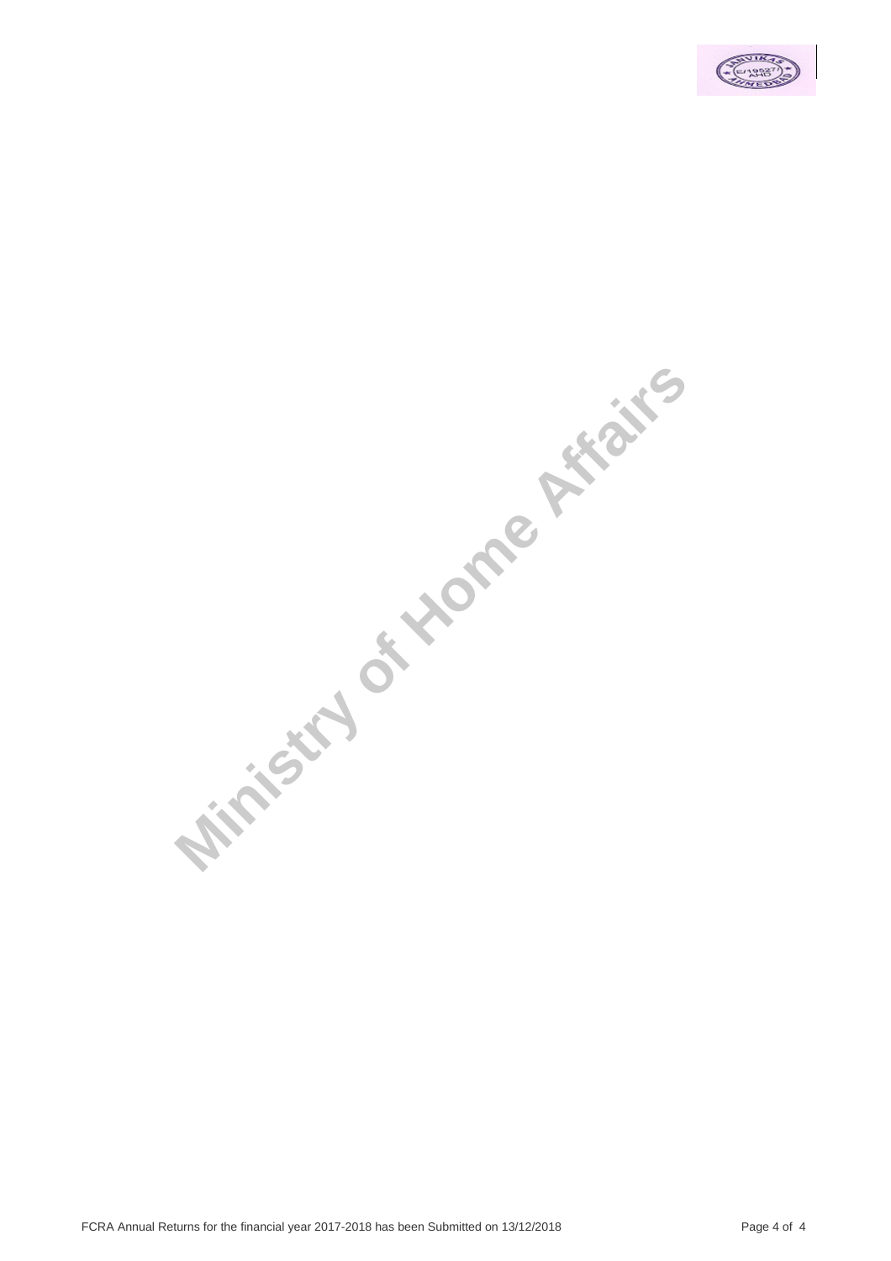

**Ministry of Home Affairs**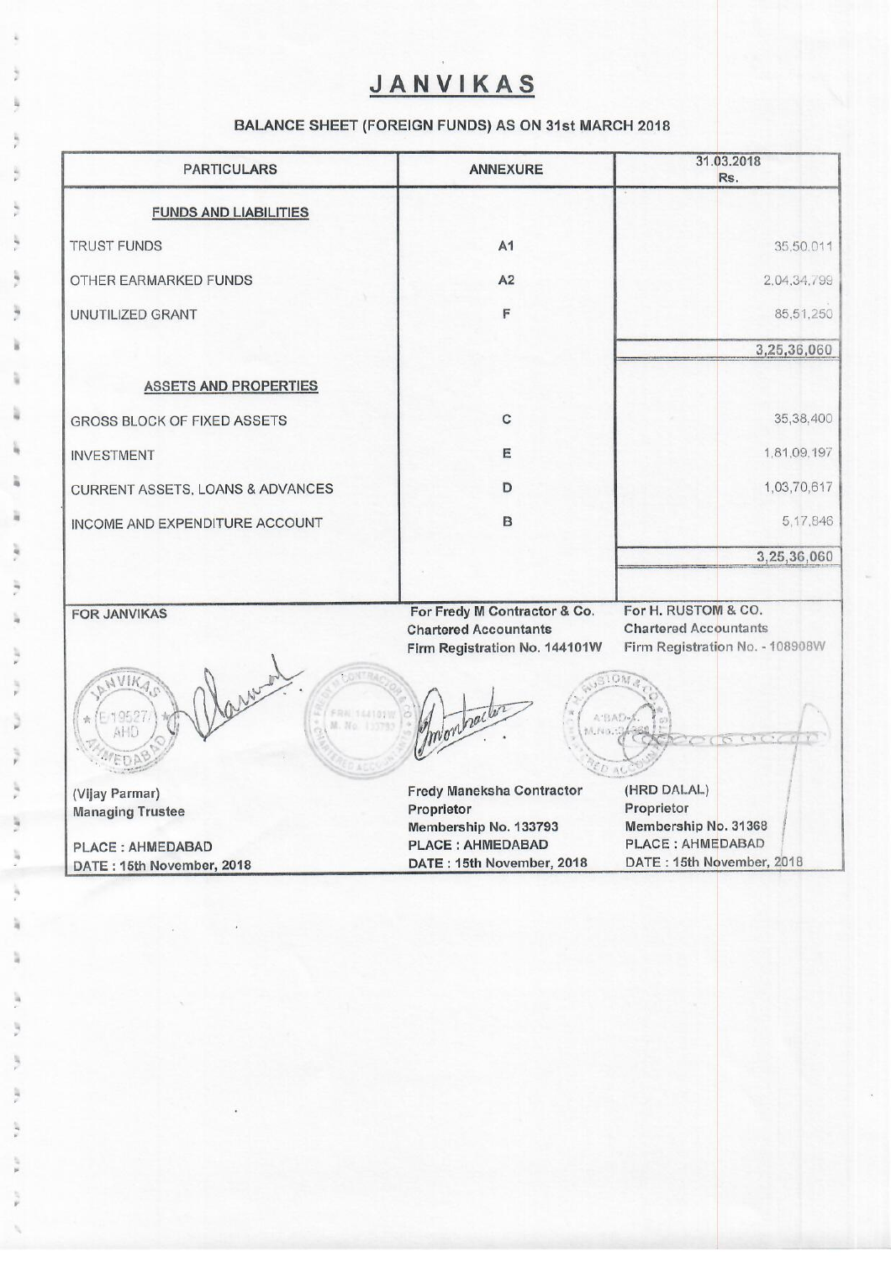# JANVIKAS

## BALANCE SHEET (FOREIGN FUNDS) AS ON 31st MARCH 2018

| <b>PARTICULARS</b>                                   | <b>ANNEXURE</b>                                                                               | 31.03.2018<br>Rs.                                                                      |
|------------------------------------------------------|-----------------------------------------------------------------------------------------------|----------------------------------------------------------------------------------------|
| <b>FUNDS AND LIABILITIES</b>                         |                                                                                               |                                                                                        |
| <b>TRUST FUNDS</b>                                   | A <sub>1</sub>                                                                                | 35.50.011                                                                              |
| OTHER EARMARKED FUNDS                                | A2                                                                                            | 2,04,34,799                                                                            |
| UNUTILIZED GRANT                                     | F                                                                                             | 85,51,250                                                                              |
|                                                      |                                                                                               | 3,25,36,060                                                                            |
| <b>ASSETS AND PROPERTIES</b>                         |                                                                                               |                                                                                        |
| <b>GROSS BLOCK OF FIXED ASSETS</b>                   | $\mathbf C$                                                                                   | 35,38,400                                                                              |
| <b>INVESTMENT</b>                                    | E                                                                                             | 1,81,09.197                                                                            |
| CURRENT ASSETS, LOANS & ADVANCES                     | D                                                                                             | 1,03,70,617                                                                            |
| INCOME AND EXPENDITURE ACCOUNT                       | B                                                                                             | 5, 17, 846                                                                             |
|                                                      |                                                                                               | 3,25,36,060                                                                            |
| <b>FOR JANVIKAS</b>                                  | For Fredy M Contractor & Co.<br><b>Chartered Accountants</b><br>Firm Registration No. 144101W | For H. RUSTOM & CO.<br><b>Chartered Accountants</b><br>Firm Registration No. - 108908W |
| <b>AVIK</b><br>F 19527                               | 144101W<br>montracte                                                                          | <b>TOM</b><br>五十四五月<br>c<br>$\varepsilon_{D\to0}$                                      |
| (Vijay Parmar)                                       | Fredy Maneksha Contractor                                                                     | (HRD DALAL)                                                                            |
| <b>Managing Trustee</b>                              | Proprietor<br>Membership No. 133793                                                           | Proprietor<br>Membership No. 31368                                                     |
| <b>PLACE: AHMEDABAD</b><br>DATE: 15th November, 2018 | <b>PLACE: AHMEDABAD</b><br>DATE: 15th November, 2018                                          | <b>PLACE: AHMEDABAD</b><br>DATE: 15th November, 2018                                   |

à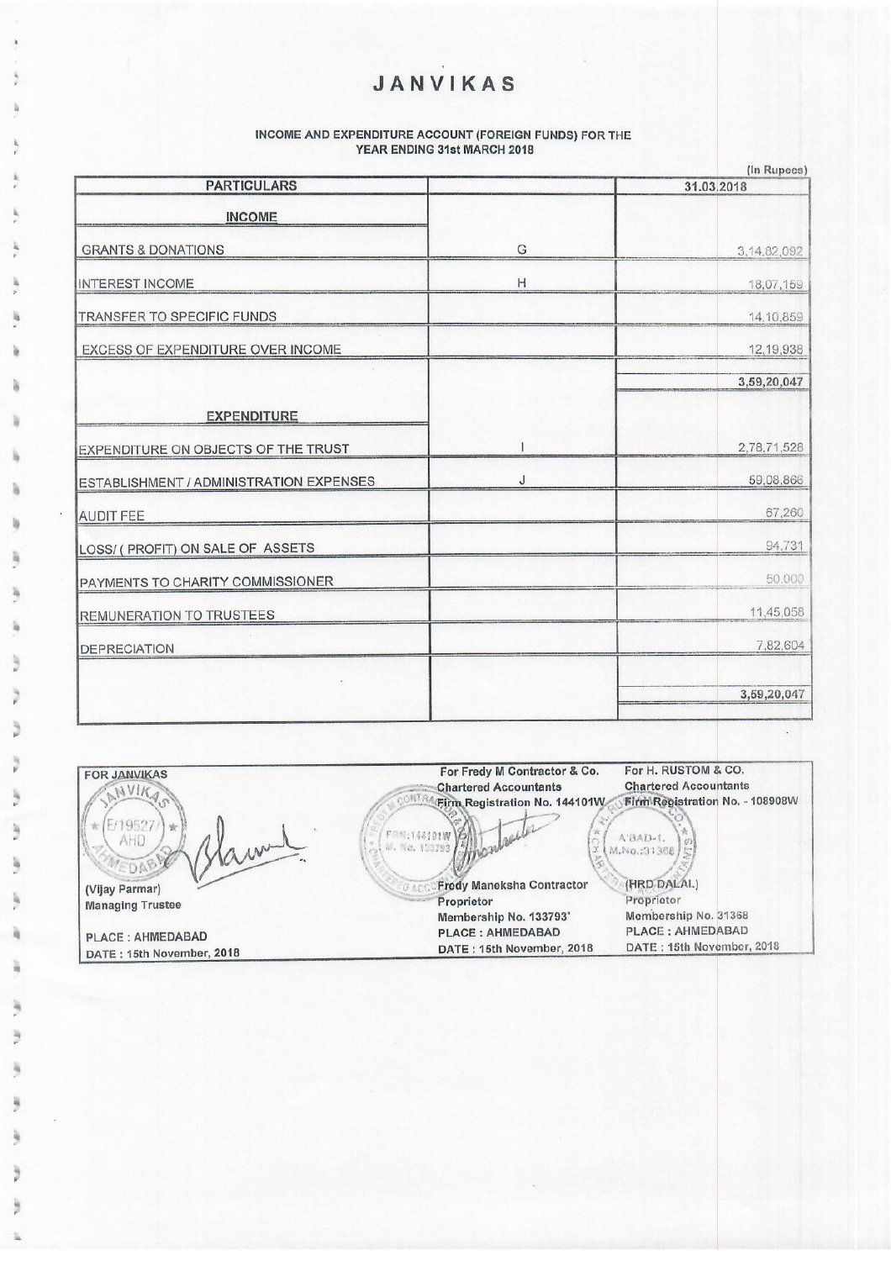## JANVIKAS

#### INCOME AND EXPENDITURE ACCOUNT (FOREIGN FUNDS) FOR THE YEAR ENDING 31st MARCH 2018

| <b>PARTICULARS</b>                      |               | (In Rupees)<br>31.03.2018 |
|-----------------------------------------|---------------|---------------------------|
| <b>INCOME</b>                           |               |                           |
| <b>GRANTS &amp; DONATIONS</b>           | ${\mathsf G}$ | 3, 14, 82, 092            |
| <b>INTEREST INCOME</b>                  | $\mathsf{H}$  | 18,07,159                 |
| TRANSFER TO SPECIFIC FUNDS              |               | 14.10,859                 |
| EXCESS OF EXPENDITURE OVER INCOME       |               | 12,19,938                 |
|                                         |               | 3,59,20,047               |
| <b>EXPENDITURE</b>                      |               |                           |
| EXPENDITURE ON OBJECTS OF THE TRUST     |               | 2,78,71,528               |
| ESTABLISHMENT / ADMINISTRATION EXPENSES | J             | 59,08,866                 |
| <b>AUDIT FEE</b>                        |               | 67,260                    |
| LOSS/ ( PROFIT) ON SALE OF ASSETS       |               | 94,731                    |
| PAYMENTS TO CHARITY COMMISSIONER        |               | 50,000                    |
| <b>REMUNERATION TO TRUSTEES</b>         |               | 11,45,058                 |
| <b>DEPRECIATION</b>                     |               | 7,82,604                  |
|                                         |               | 3,59,20,047               |
|                                         |               |                           |

For Fredy M Contractor & Co. For H. RUSTOM & CO. **FOR JANVIKAS Chartered Accountants Chartered Accountants** NVIK **Charles Accounting Charles Accounting to 144101W** Firm Registration No. - 108908W E/19527 FRN:144101W<br>M. No. 153793 Montaeu ind A'BAD-1. AHD **SLG** M.No.:31368 EDAR **Fredy Maneksha Contractor** (HRD DALAL) (Vijay Parmar) **DACCT** Proprietor Proprietor **Managing Trustee** Membership No. 31368 Membership No. 133793' PLACE : AHMEDABAD PLACE : AHMEDABAD **PLACE: AHMEDABAD** DATE: 15th November, 2018 DATE: 15th November, 2018 DATE: 15th November, 2018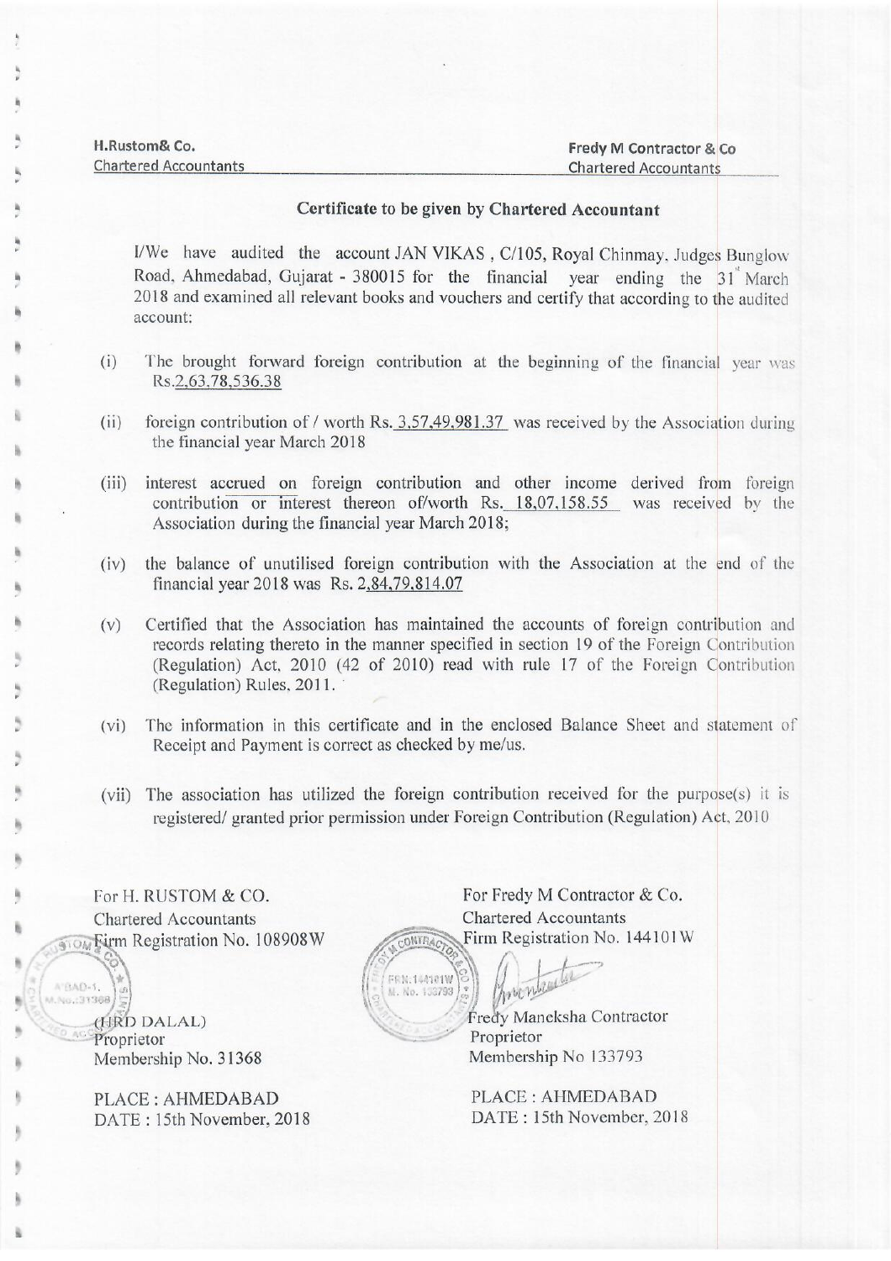### Certificate to be given by Chartered Accountant

I/We have audited the account JAN VIKAS, C/105, Royal Chinmay, Judges Bunglow Road, Ahmedabad, Gujarat - 380015 for the financial year ending the 31 March 2018 and examined all relevant books and vouchers and certify that according to the audited account:

- The brought forward foreign contribution at the beginning of the financial year was  $(i)$ Rs.2,63,78,536.38
- $(i)$ foreign contribution of / worth Rs. 3.57,49,981.37 was received by the Association during the financial year March 2018
- interest accrued on foreign contribution and other income derived from foreign  $(iii)$ contribution or interest thereon of/worth Rs. 18,07,158.55 was received by the Association during the financial year March 2018:
- the balance of unutilised foreign contribution with the Association at the end of the  $(iv)$ financial year 2018 was Rs. 2,84,79,814.07
- Certified that the Association has maintained the accounts of foreign contribution and  $(v)$ records relating thereto in the manner specified in section 19 of the Foreign Contribution (Regulation) Act, 2010 (42 of 2010) read with rule 17 of the Foreign Contribution (Regulation) Rules, 2011.
- $(vi)$ The information in this certificate and in the enclosed Balance Sheet and statement of Receipt and Payment is correct as checked by me/us.
- (vii) The association has utilized the foreign contribution received for the purpose(s) it is registered/granted prior permission under Foreign Contribution (Regulation) Act, 2010

FRN:144101W

M. No. 153793

For H. RUSTOM & CO. **Chartered Accountants SOMETHY** Registration No. 108908W

> (HRD DALAL) Proprietor Membership No. 31368

ATRAD-\$ \* <sup>DAU\*\*</sup><br>No.:31368 【

> PLACE: AHMEDABAD DATE: 15th November, 2018

For Fredy M Contractor & Co. **Chartered Accountants** Firm Registration No. 144101W ONTRAC

> monten Fredy Maneksha Contractor Proprietor Membership No 133793

PLACE: AHMEDABAD DATE: 15th November, 2018